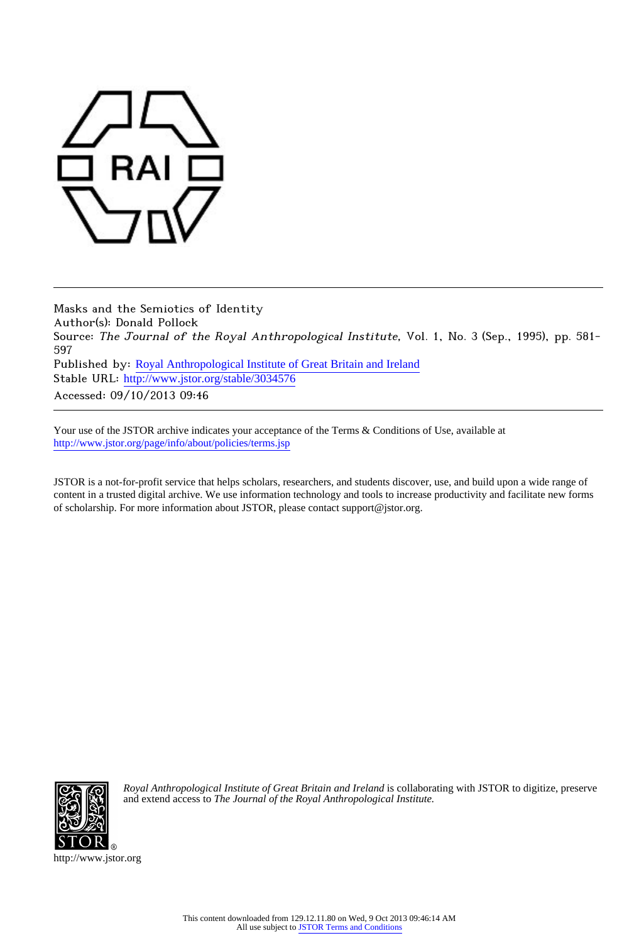

Masks and the Semiotics of Identity Author(s): Donald Pollock Source: The Journal of the Royal Anthropological Institute, Vol. 1, No. 3 (Sep., 1995), pp. 581- 597 Published by: [Royal Anthropological Institute of Great Britain and Ireland](http://www.jstor.org/action/showPublisher?publisherCode=rai) Stable URL: [http://www.jstor.org/stable/3034576](http://www.jstor.org/stable/3034576?origin=JSTOR-pdf) Accessed: 09/10/2013 09:46

Your use of the JSTOR archive indicates your acceptance of the Terms & Conditions of Use, available at <http://www.jstor.org/page/info/about/policies/terms.jsp>

JSTOR is a not-for-profit service that helps scholars, researchers, and students discover, use, and build upon a wide range of content in a trusted digital archive. We use information technology and tools to increase productivity and facilitate new forms of scholarship. For more information about JSTOR, please contact support@jstor.org.



*Royal Anthropological Institute of Great Britain and Ireland* is collaborating with JSTOR to digitize, preserve and extend access to *The Journal of the Royal Anthropological Institute.*

http://www.jstor.org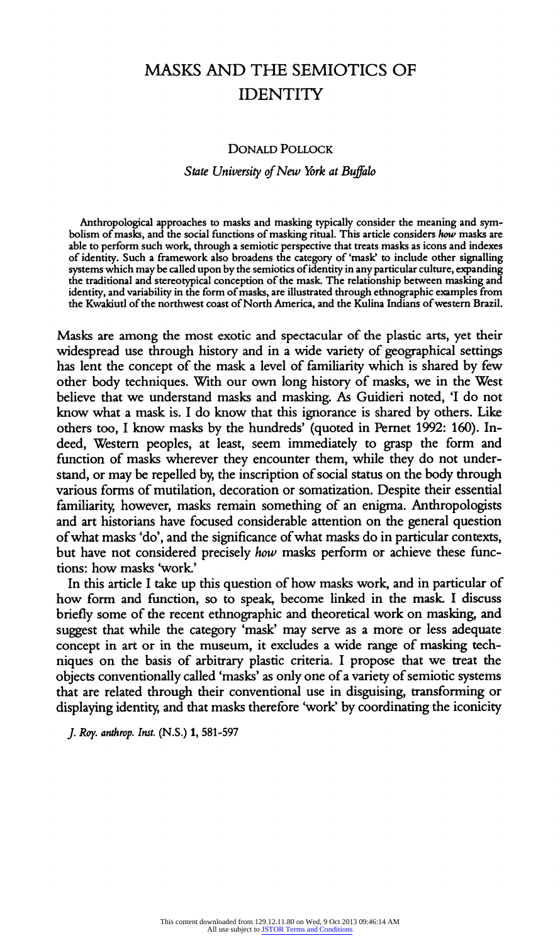# **MASKS AND THE SEMIOTICS OF IDENTITY**

## **DONALD POLLOCK**

## **State University of New York at Buffalo**

**Anthropological approaches to masks and masking typically consider the meaning and symbolism of masks, and the social functions of masking ritual. This article considers how masks are able to perform such work, through a semiotic perspective that treats masks as icons and indexes of identity. Such a framework also broadens the category of 'mask' to include other signalling systems which may be called upon by the semiotics of identity in any particular culture, expanding the traditional and stereotypical conception of the mask. The relationship between masking and identity, and variability in the form of masks, are illustrated through ethnographic examples from the Kwakiutl of the northwest coast of North America, and the Kulina Indians of western Brazil.** 

**Masks are among the most exotic and spectacular of the plastic arts, yet their widespread use through history and in a wide variety of geographical settings has lent the concept of the mask a level of familiarity which is shared by few other body techniques. With our own long history of masks, we in the West believe that we understand masks and masking. As Guidieri noted, 'I do not know what a mask is. I do know that this ignorance is shared by others. Like others too, I know masks by the hundreds' (quoted in Pernet 1992: 160). Indeed, Western peoples, at least, seem immediately to grasp the form and function of masks wherever they encounter them, while they do not understand, or may be repelled by, the inscription of social status on the body through various forms of mutilation, decoration or somatization. Despite their essential familiarity, however, masks remain something of an enigma. Anthropologists and art historians have focused considerable attention on the general question of what masks 'do', and the significance of what masks do in particular contexts, but have not considered precisely how masks perform or achieve these functions: how masks 'work.'** 

**In this article I take up this question of how masks work, and in particular of how form and function, so to speak, become linked in the mask. I discuss**  briefly some of the recent ethnographic and theoretical work on masking, and **suggest that while the category 'mask' may serve as a more or less adequate concept in art or in the museum, it excludes a wide range of masking techniques on the basis of arbitrary plastic criteria. I propose that we treat the objects conventionally called 'masks' as only one of a variety of semiotic systems that are related through their conventional use in disguising, transforming or displaying identity, and that masks therefore 'work' by coordinating the iconicity** 

**J. Roy. anthrop. Inst. (N.S.) 1, 581-597**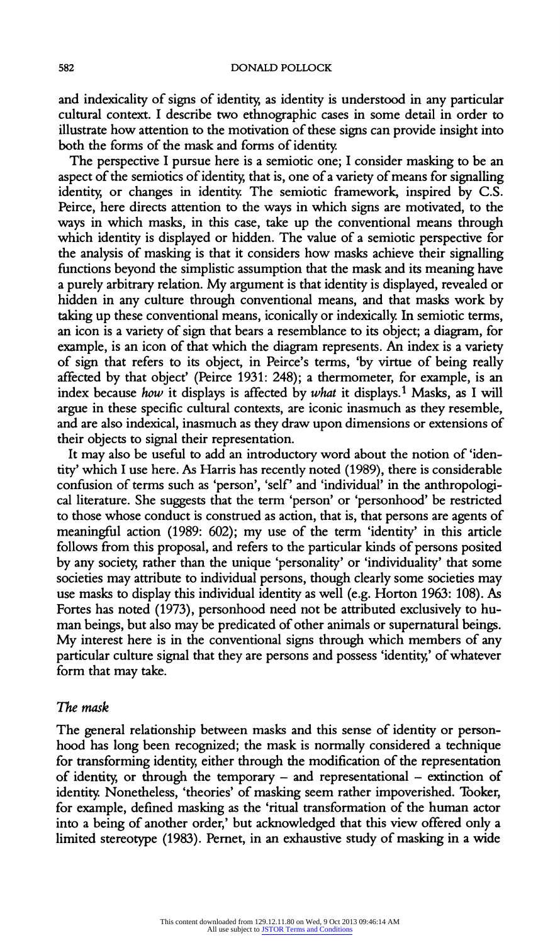**and indexicality of signs of identity, as identity is understood in any particular cultural context. I describe two ethnographic cases in some detail in order to illustrate how attention to the motivation of these signs can provide insight into both the forms of the mask and forms of identity.** 

**The perspective I pursue here is a semiotic one; I consider masking to be an aspect of the semiotics of identity, that is, one of a variety of means for signalling identity, or changes in identity. The semiotic framework, inspired by C.S. Peirce, here directs attention to the ways in which signs are motivated, to the ways in which masks, in this case, take up the conventional means through which identity is displayed or hidden. The value of a semiotic perspective for the analysis of masking is that it considers how masks achieve their signalling functions beyond the simplistic assumption that the mask and its meaning have a purely arbitrary relation. My argument is that identity is displayed, revealed or hidden in any culture through conventional means, and that masks work by taking up these conventional means, iconically or indexically. In semiotic terms, an icon is a variety of sign that bears a resemblance to its object; a diagram, for example, is an icon of that which the diagram represents. An index is a variety of sign that refers to its object, in Peirce's terms, 'by virtue of being really affected by that object' (Peirce 1931: 248); a thermometer, for example, is an index because how it displays is affected by what it displays.1 Masks, as I will argue in these specific cultural contexts, are iconic inasmuch as they resemble, and are also indexical, inasmuch as they draw upon dimensions or extensions of their objects to signal their representation.** 

**It may also be useful to add an introductory word about the notion of 'identity' which I use here. As Harris has recently noted (1989), there is considerable confusion of terms such as 'person', 'self' and 'individual' in the anthropological literature. She suggests that the term 'person' or 'personhood' be restricted to those whose conduct is construed as action, that is, that persons are agents of meaningful action (1989: 602); my use of the term 'identity' in this article follows from this proposal, and refers to the particular kinds of persons posited by any society, rather than the unique 'personality' or 'individuality' that some societies may attribute to individual persons, though clearly some societies may use masks to display this individual identity as well (e.g. Horton 1963: 108). As Fortes has noted (1973), personhood need not be attributed exclusively to human beings, but also may be predicated of other animals or supernatural beings. My interest here is in the conventional signs through which members of any particular culture signal that they are persons and possess 'identity' of whatever form that may take.** 

# **7he mask**

**The general relationship between masks and this sense of identity or personhood has long been recognized; the mask is normally considered a technique for transforming identity, either through the modification of the representation of identity, or through the temporary - and representational - extinction of identity. Nonetheless, 'theories' of masking seem rather impoverished. Tooker, for example, defined masking as the 'ritual transformation of the human actor into a being of another order,' but acknowledged that this view offered only a limited stereotype (1983). Pernet, in an exhaustive study of masking in a wide**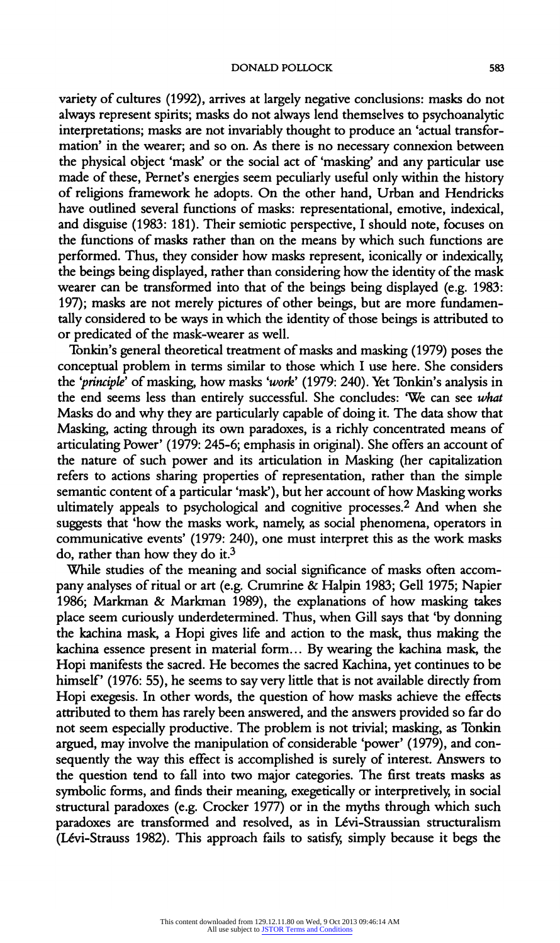**variety of cultures (1992), arrives at largely negative conclusions: masks do not always represent spirits; masks do not always lend themselves to psychoanalytic interpretations; masks are not invariably thought to produce an 'actual transformation' in the wearer; and so on. As there is no necessary connexion between the physical object 'mask' or the social act of 'masking' and any particular use made of these, Pernet's energies seem peculiarly useful only within the history of religions framework he adopts. On the other hand, Urban and Hendricks have outlined several functions of masks: representational, emotive, indexical, and disguise (1983: 181). Their semiotic perspective, I should note, focuses on the functions of masks rather than on the means by which such functions are performed. Thus, they consider how masks represent, iconically or indexically, the beings being displayed, rather than considering how the identity of the mask**  wearer can be transformed into that of the beings being displayed (e.g. 1983: **197); masks are not merely pictures of other beings, but are more fundamentally considered to be ways in which the identity of those beings is attributed to or predicated of the mask-wearer as well.** 

**Tonkin's general theoretical treatment of masks and masking (1979) poses the conceptual problem in terms similar to those which I use here. She considers the 'principle' of masking, how masks 'work' (1979: 240). Yet Tonkin's analysis in the end seems less than entirely successful. She concludes: We can see what Masks do and why they are particularly capable of doing it. The data show that Masking, acting through its own paradoxes, is a richly concentrated means of articulating Power' (1979: 245-6; emphasis in original). She offers an account of the nature of such power and its articulation in Masking (her capitalization refers to actions sharing properties of representation, rather than the simple semantic content of a particular 'mask'), but her account of how Masking works ultimately appeals to psychological and cognitive processes.2 And when she suggests that 'how the masks work, namely, as social phenomena, operators in communicative events' (1979: 240), one must interpret this as the work masks do, rather than how they do it.3** 

**While studies of the meaning and social significance of masks often accompany analyses of ritual or art (e.g. Crumrine & Halpin 1983; Gell 1975; Napier 1986; Markman & Markman 1989), the explanations of how masking takes place seem curiously underdetermined. Thus, when Gill says that 'by donning**  the kachina mask, a Hopi gives life and action to the mask, thus making the **kachina essence present in material form... By wearing the kachina mask, the Hopi manifests the sacred. He becomes the sacred Kachina, yet continues to be himself' (1976: 55), he seems to say very little that is not available directly from Hopi exegesis. In other words, the question of how masks achieve the effects attributed to them has rarely been answered, and the answers provided so far do not seem especially productive. The problem is not trivial; masking, as Tonkin argued, may involve the manipulation of considerable 'power' (1979), and consequently the way this effect is accomplished is surely of interest. Answers to the question tend to fall into two major categories. The first treats masks as symbolic forms, and finds their meaning, exegetically or interpretively, in social structural paradoxes (e.g. Crocker 1977) or in the myths through which such paradoxes are transformed and resolved, as in Levi-Straussian structuralism (Levi-Strauss 1982). This approach fails to satisfy, simply because it begs the**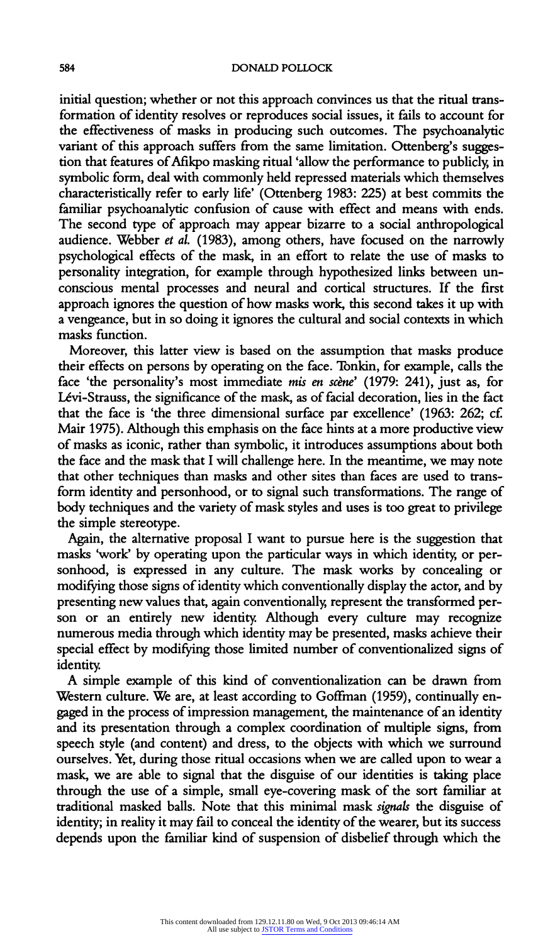**initial question; whether or not this approach convinces us that the ritual transformation of identity resolves or reproduces social issues, it fails to account for the effectiveness of masks in producing such outcomes. The psychoanalytic variant of this approach suffers from the same limitation. Ottenberg's suggestion that features of Afikpo masking ritual 'allow the performance to publicly, in symbolic form, deal with commonly held repressed materials which themselves characteristically refer to early life' (Ottenberg 1983: 225) at best commits the familiar psychoanalytic confusion of cause with effect and means with ends. The second type of approach may appear bizarre to a social anthropological**  audience. Webber et al. (1983), among others, have focused on the narrowly **psychological effects of the mask, in an effort to relate the use of masks to personality integration, for example through hypothesized links between unconscious mental processes and neural and cortical structures. If the first approach ignores the question of how masks work, this second takes it up with a vengeance, but in so doing it ignores the cultural and social contexts in which masks function.** 

**Moreover, this latter view is based on the assumption that masks produce**  their effects on persons by operating on the face. Tonkin, for example, calls the **face 'the personality's most immediate mis en scene' (1979: 241), just as, for Levi-Strauss, the significance of the mask, as of facial decoration, lies in the fact**  that the face is 'the three dimensional surface par excellence' (1963: 262; cf. **Mair 1975). Although this emphasis on the face hints at a more productive view of masks as iconic, rather than symbolic, it introduces assumptions about both the face and the mask that I will challenge here. In the meantime, we may note that other techniques than masks and other sites than faces are used to transform identity and personhood, or to signal such transformations. The range of body techniques and the variety of mask styles and uses is too great to privilege the simple stereotype.** 

**Again, the alternative proposal I want to pursue here is the suggestion that masks 'work' by operating upon the particular ways in which identity, or personhood, is expressed in any culture. The mask works by concealing or modifying those signs of identity which conventionally display the actor, and by presenting new values that, again conventionally, represent the transformed person or an entirely new identity. Although every culture may recognize numerous media through which identity may be presented, masks achieve their**  special effect by modifying those limited number of conventionalized signs of **identity.** 

**A simple example of this kind of conventionalization can be drawn from Western culture. We are, at least according to Goffman (1959), continually engaged in the process of impression management, the maintenance of an identity and its presentation through a complex coordination of multiple signs, from speech style (and content) and dress, to the objects with which we surround ourselves. Yet, during those ritual occasions when we are called upon to wear a mask, we are able to signal that the disguise of our identities is taking place through the use of a simple, small eye-covering mask of the sort familiar at traditional masked balls. Note that this minimal mask signals the disguise of identity; in reality it may fail to conceal the identity of the wearer, but its success depends upon the familiar kind of suspension of disbelief through which the**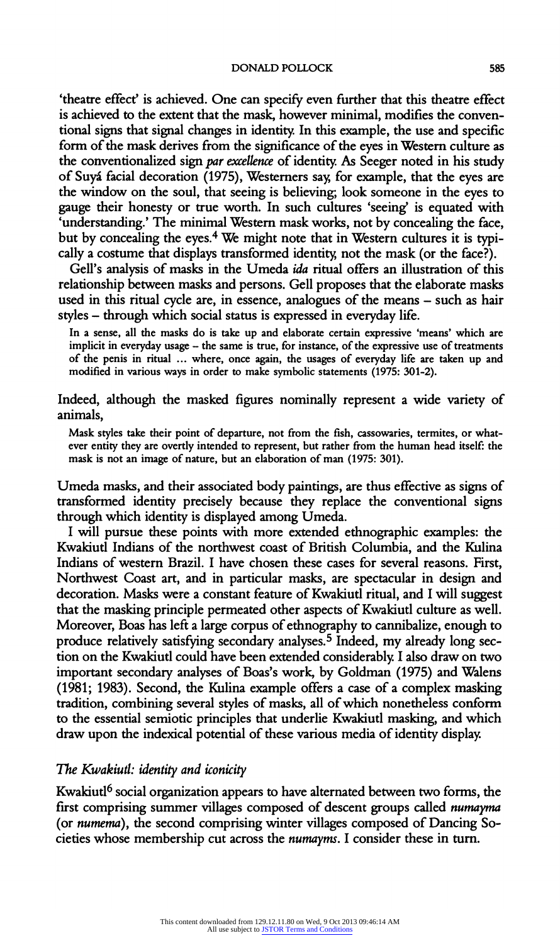**'theatre effect' is achieved. One can specify even further that this theatre effect is achieved to the extent that the mask, however minimal, modifies the conventional signs that signal changes in identity. In this example, the use and specific form of the mask derives from the significance of the eyes in Western culture as the conventionalized sign par excellence of identity. As Seeger noted in his study**  of Suyá facial decoration (1975), Westerners say, for example, that the eyes are **the window on the soul, that seeing is believing, look someone in the eyes to gauge their honesty or true worth. In such cultures 'seeing' is equated with 'understanding.' The minimal Western mask works, not by concealing the face, but by concealing the eyes.4 We might note that in Western cultures it is typically a costume that displays transformed identity, not the mask (or the face?).** 

**Gell's analysis of masks in the Umeda ida ritual offers an illustration of this relationship between masks and persons. Gell proposes that the elaborate masks used in this ritual cycle are, in essence, analogues of the means - such as hair styles - through which social status is expressed in everyday life.** 

**In a sense, all the masks do is take up and elaborate certain expressive 'means' which are implicit in everyday usage - the same is true, for instance, of the expressive use of treatments of the penis in ritual ... where, once again, the usages of everyday life are taken up and modified in various ways in order to make symbolic statements (1975: 301-2).** 

**Indeed, although the masked figures nominally represent a wide variety of animals,** 

**Mask styles take their point of departure, not from the fish, cassowaries, termites, or whatever entity they are overtly intended to represent, but rather from the human head itself: the mask is not an image of nature, but an elaboration of man (1975: 301).** 

**Umeda masks, and their associated body paintings, are thus effective as signs of transformed identity precisely because they replace the conventional signs through which identity is displayed among Umeda.** 

**I will pursue these points with more extended ethnographic examples: the Kwakiutl Indians of the northwest coast of British Columbia, and the Kulina Indians of western Brazil. I have chosen these cases for several reasons. First, Northwest Coast art, and in particular masks, are spectacular in design and decoration. Masks were a constant feature of Kwakiutl ritual, and I will suggest that the masking principle permeated other aspects of Kwakiutl culture as well. Moreover, Boas has left a large corpus of ethnography to cannibalize, enough to produce relatively satisfying secondary analyses.5 Indeed, my already long section on the Kwakiutl could have been extended considerably. I also draw on two important secondary analyses of Boas's work, by Goldman (1975) and Walens (1981; 1983). Second, the Kulina example offers a case of a complex masking tradition, combining several styles of masks, all of which nonetheless conform to the essential semiotic principles that underlie Kwakiutl masking, and which draw upon the indexical potential of these various media of identity display.** 

# **The Kwakiutl: identity and iconicity**

**Kwakiutl6 social organization appears to have alternated between two forms, the first comprising summer villages composed of descent groups called numayma (or numema), the second comprising winter villages composed of Dancing Societies whose membership cut across the numayms. I consider these in turn.**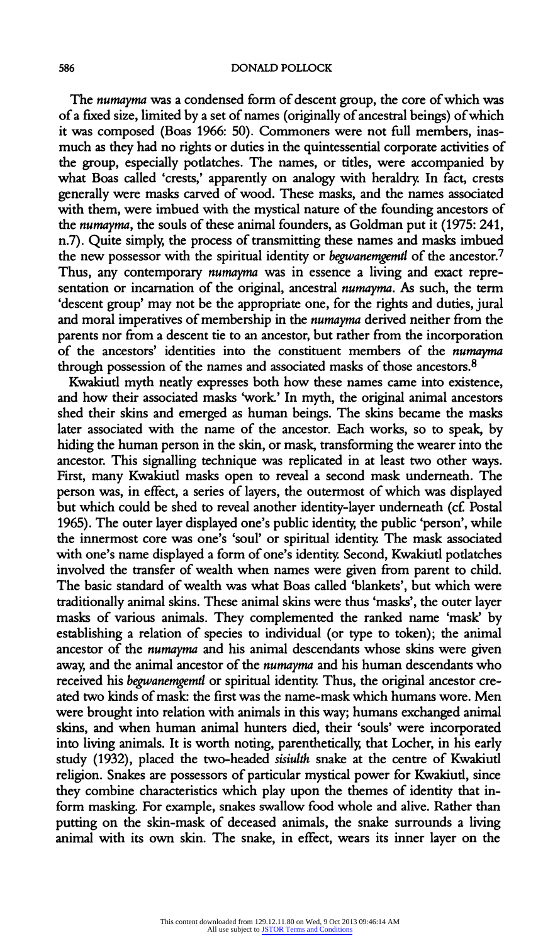**The numayma was a condensed form of descent group, the core of which was of a fixed size, limited by a set of names (originally of ancestral beings) of which it was composed (Boas 1966: 50). Commoners were not full members, inasmuch as they had no rights or duties in the quintessential corporate activities of the group, especially potlatches. The names, or titles, were accompanied by what Boas called 'crests,' apparently on analogy with heraldry. In fact, crests generally were masks carved of wood. These masks, and the names associated with them, were imbued with the mystical nature of the founding ancestors of the numayma, the souls of these animal founders, as Goldman put it (1975: 241, n.7). Quite simply, the process of transmitting these names and masks imbued the new possessor with the spiritual identity or begwanemgemtl of the ancestor.7 Thus, any contemporary numayma was in essence a living and exact representation or incarnation of the original, ancestral numayna. As such, the term 'descent group' may not be the appropriate one, for the rights and duties, jural and moral imperatives of membership in the numayma derived neither from the parents nor from a descent tie to an ancestor, but rather from the incorporation of the ancestors' identities into the constituent members of the numayma through possession of the names and associated masks of those ancestors.8** 

**Kwakiutl myth neatly expresses both how these names came into existence, and how their associated masks 'work.' In myth, the original animal ancestors shed their skins and emerged as human beings. The skins became the masks later associated with the name of the ancestor. Each works, so to speak, by hiding the human person in the skin, or mask, transforming the wearer into the ancestor. This signalling technique was replicated in at least two other ways. First, many Kwakiutl masks open to reveal a second mask underneath. The person was, in effect, a series of layers, the outermost of which was displayed**  but which could be shed to reveal another identity-layer underneath (cf. Postal **1965). The outer layer displayed one's public identity, the public 'person', while the innermost core was one's 'soul' or spiritual identity. The mask associated with one's name displayed a form of one's identity. Second, Kwakiutl potlatches involved the transfer of wealth when names were given from parent to child. The basic standard of wealth was what Boas called 'blankets', but which were traditionally animal skins. These animal skins were thus 'masks', the outer layer masks of various animals. They complemented the ranked name 'mask' by establishing a relation of species to individual (or type to token); the animal ancestor of the numayma and his animal descendants whose skins were given**  away, and the animal ancestor of the *numayma* and his human descendants who **received his begwanemgemtl or spiritual identity. Thus, the original ancestor created two kinds of mask: the first was the name-mask which humans wore. Men were brought into relation with animals in this way; humans exchanged animal skins, and when human animal hunters died, their 'souls' were incorporated into living animals. It is worth noting, parenthetically, that Locher, in his early study (1932), placed the two-headed sisiulth snake at the centre of Kwakiutl religion. Snakes are possessors of particular mystical power for Kwakiutl, since they combine characteristics which play upon the themes of identity that inform masking. For example, snakes swallow food whole and alive. Rather than putting on the skin-mask of deceased animals, the snake surrounds a living animal with its own skin. The snake, in effect, wears its inner layer on the**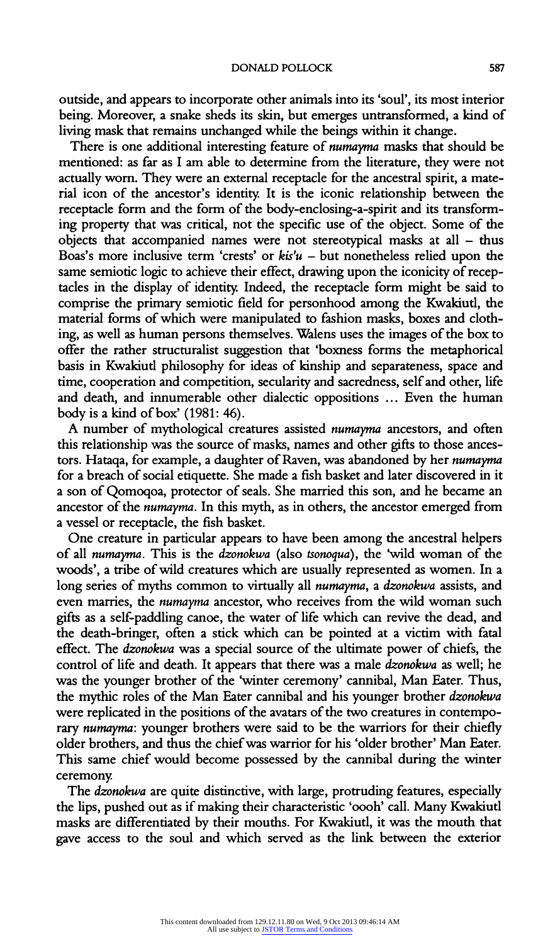**outside, and appears to incorporate other animals into its 'soul', its most interior being. Moreover, a snake sheds its skin, but emerges untransformed, a kind of living mask that remains unchanged while the beings within it change.** 

**There is one additional interesting feature of numayma masks that should be mentioned: as far as I am able to determine from the literature, they were not actually worn. They were an external receptacle for the ancestral spirit, a material icon of the ancestor's identity. It is the iconic relationship between the receptacle form and the form of the body-enclosing-a-spirit and its transforming property that was critical, not the specific use of the object. Some of the objects that accompanied names were not stereotypical masks at all - thus**  Boas's more inclusive term 'crests' or kis'u - but nonetheless relied upon the **same semiotic logic to achieve their effect, drawing upon the iconicity of receptacles in the display of identity. Indeed, the receptacle form might be said to comprise the primary semiotic field for personhood among the Kwakiutl, the material forms of which were manipulated to fashion masks, boxes and clothing, as well as human persons themselves. Walens uses the images of the box to offer the rather structuralist suggestion that 'boxness forms the metaphorical basis in Kwakiutl philosophy for ideas of kinship and separateness, space and time, cooperation and competition, secularity and sacredness, self and other, life and death, and innumerable other dialectic oppositions ... Even the human body is a kind of box' (1981: 46).** 

**A number of mythological creatures assisted numayma ancestors, and often this relationship was the source of masks, names and other gifts to those ancestors. Hataqa, for example, a daughter of Raven, was abandoned by her numayma for a breach of social etiquette. She made a fish basket and later discovered in it a son of Qomoqoa, protector of seals. She married this son, and he became an ancestor of the numayma. In this myth, as in others, the ancestor emerged from a vessel or receptacle, the fish basket.** 

**One creature in particular appears to have been among the ancestral helpers of all numayma. This is the dzonokwa (also tsonoqua), the 'wild woman of the woods', a tribe of wild creatures which are usually represented as women. In a**  long series of myths common to virtually all numayma, a dzonokwa assists, and even marries, the *numayma* ancestor, who receives from the wild woman such **gifts as a self-paddling canoe, the water of life which can revive the dead, and the death-bringer, often a stick which can be pointed at a victim with fatal effect. The dzonokwa was a special source of the ultimate power of chiefs, the control of life and death. It appears that there was a male dzonokwa as well; he was the younger brother of the 'winter ceremony' cannibal, Man Eater. Thus, the mythic roles of the Man Eater cannibal and his younger brother dzonokwa were replicated in the positions of the avatars of the two creatures in contemporary numayma: younger brothers were said to be the warriors for their chiefly older brothers, and thus the chief was warrior for his 'older brother' Man Eater. This same chief would become possessed by the cannibal during the winter ceremony.** 

**The dzonokwa are quite distinctive, with large, protruding features, especially the lips, pushed out as if making their characteristic 'oooh' call. Many Kwakiutl masks are differentiated by their mouths. For Kwakiutl, it was the mouth that gave access to the soul and which served as the link between the exterior**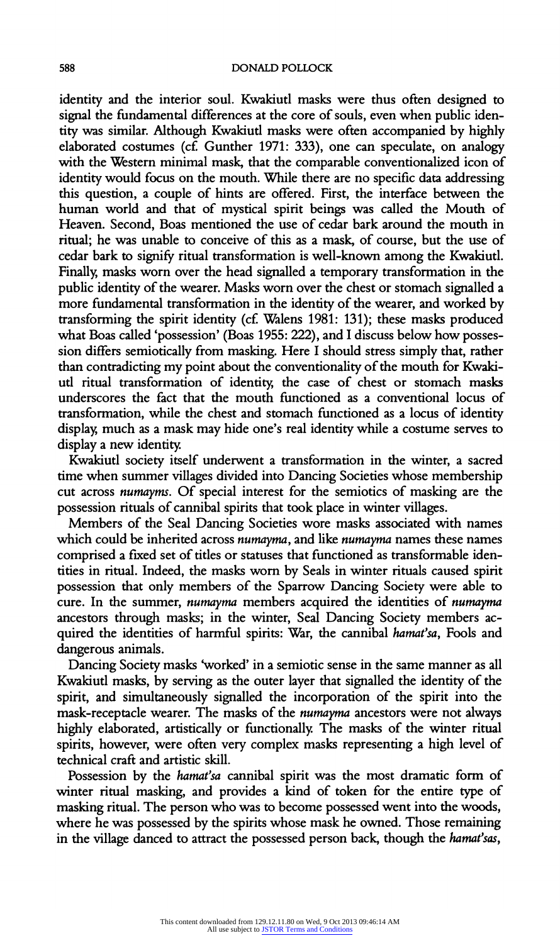**identity and the interior soul. Kwakiutl masks were thus often designed to signal the fundamental differences at the core of souls, even when public identity was similar. Although Kwakiutl masks were often accompanied by highly elaborated costumes (cf Gunther 1971: 333), one can speculate, on analogy with the Western minimal mask, that the comparable conventionalized icon of identity would focus on the mouth. While there are no specific data addressing this question, a couple of hints are offered. First, the interface between the human world and that of mystical spirit beings was called the Mouth of Heaven. Second, Boas mentioned the use of cedar bark around the mouth in ritual; he was unable to conceive of this as a mask, of course, but the use of cedar bark to signify ritual transformation is well-known among the Kwakdutl. Finally, masks worn over the head signalled a temporary transformation in the public identity of the wearer. Masks worn over the chest or stomach signalled a more fundamental transformation in the identity of the wearer, and worked by**  transforming the spirit identity (cf. Walens 1981: 131); these masks produced **what Boas called 'possession' (Boas 1955: 222), and I discuss below how possession differs semiotically from masking. Here I should stress simply that, rather than contradicting my point about the conventionality of the mouth for Kwakiutl ritual transformation of identity, the case of chest or stomach masks underscores the fact that the mouth functioned as a conventional locus of transformation, while the chest and stomach functioned as a locus of identity display, much as a mask may hide one's real identity while a costume serves to display a new identity.** 

**Kwakiutl society itself underwent a transformation in the winter, a sacred time when summer villages divided into Dancing Societies whose membership cut across numayns. Of special interest for the semiotics of masking are the possession rituals of cannibal spirits that took place in winter villages.** 

**Members of the Seal Dancing Societies wore masks associated with names which could be inherited across numayma, and like numayma names these names comprised a fixed set of titles or statuses that functioned as transformable identities in ritual. Indeed, the masks worn by Seals in winter rituals caused spirit possession that only members of the Sparrow Dancing Society were able to cure. In the summer, numayma members acquired the identities of numayma ancestors through masks; in the winter, Seal Dancing Society members acquired the identities of harmful spirits: War, the cannibal hamat'sa, Fools and dangerous animals.** 

**Dancing Society masks 'worked' in a semiotic sense in the same manner as all Kwakiutl masks, by serving as the outer layer that signalled the identity of the spirit, and simultaneously signalled the incorporation of the spirit into the mask-receptacle wearer. The masks of the numayma ancestors were not always highly elaborated, artistically or functionally. The masks of the winter ritual spirits, however, were often very complex masks representing a high level of technical craft and artistic skill.** 

**Possession by the hamat'sa cannibal spirit was the most dramatic form of winter ritual masking, and provides a kind of token for the entire type of masking ritual. The person who was to become possessed went into the woods, where he was possessed by the spirits whose mask he owned. Those remaining in the village danced to attract the possessed person back, though the hamat'sas,**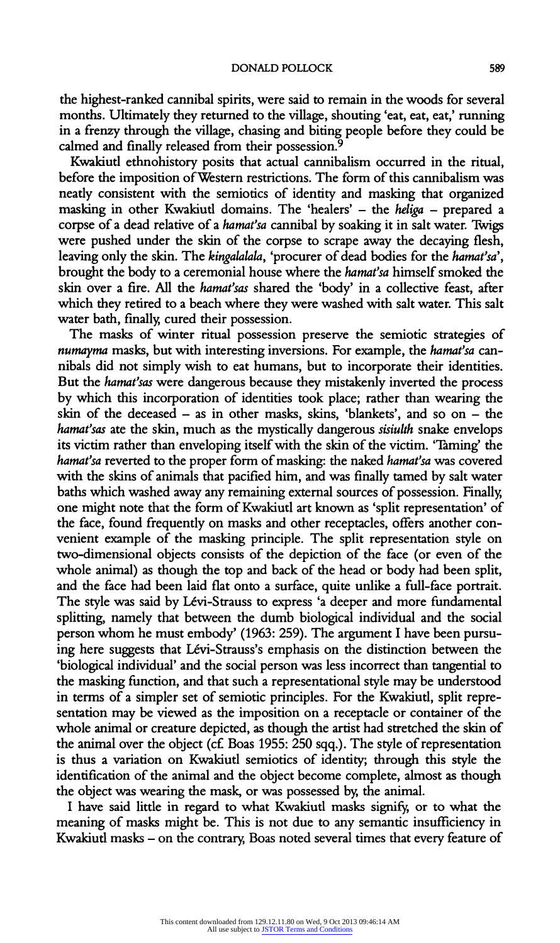**the highest-ranked cannibal spirits, were said to remain in the woods for several months. Ultimately they returned to the village, shouting 'eat, eat, eat,' running in a frenzy through the village, chasing and biting people before they could be calmed and finally released from their possession.9** 

**Kwakiutl ethnohistory posits that actual cannibalism occurred in the ritual, before the imposition of Western restrictions. The form of this cannibalism was neatly consistent with the semiotics of identity and masking that organized masking in other Kwakiutl domains. The 'healers' - the heliga - prepared a corpse of a dead relative of a hamat'sa cannibal by soaking it in salt water. Twigs were pushed under the skin of the corpse to scrape away the decaying flesh, leaving only the skin. The kingalalala, 'procurer of dead bodies for the hamat'sa', brought the body to a ceremonial house where the hamat'sa himself smoked the skin over a fire. All the hamat'sas shared the 'body' in a collective feast, after which they retired to a beach where they were washed with salt water. This salt water bath, finally, cured their possession.** 

**The masks of winter ritual possession preserve the semiotic strategies of numayma masks, but with interesting inversions. For example, the hamat'sa cannibals did not simply wish to eat humans, but to incorporate their identities. But the hamat'sas were dangerous because they mistakenly inverted the process by which this incorporation of identities took place; rather than wearing the skin of the deceased - as in other masks, skins, 'blankets', and so on - the hamat'sas ate the skin, much as the mystically dangerous sisiulth snake envelops its victim rather than enveloping itself with the skin of the victim. 'Taming' the hamat'sa reverted to the proper form of masking: the naked hamat'sa was covered with the skins of animals that pacified him, and was finally tamed by salt water baths which washed away any remaining external sources of possession. Finally, one might note that the form of Kwakiutl art known as 'split representation' of the face, found frequently on masks and other receptacles, offers another convenient example of the masking principle. The split representation style on two-dimensional objects consists of the depiction of the face (or even of the whole animal) as though the top and back of the head or body had been split, and the face had been laid flat onto a surface, quite unlike a full-face portrait. The style was said by Levi-Strauss to express 'a deeper and more fundamental splitting, namely that between the dumb biological individual and the social person whom he must embody' (1963: 259). The argument I have been pursuing here suggests that L6vi-Strauss's emphasis on the distinction between the 'biological individual' and the social person was less incorrect than tangential to the masking function, and that such a representational style may be understood**  in terms of a simpler set of semiotic principles. For the Kwakiutl, split repre**sentation may be viewed as the imposition on a receptacle or container of the whole animal or creature depicted, as though the artist had stretched the skin of the animal over the object (cf Boas 1955: 250 sqq.). The style of representation is thus a variation on Kwakiutl semiotics of identity; through this style the identification of the animal and the object become complete, almost as though the object was wearing the mask, or was possessed by, the animal.** 

**I have said little in regard to what Kwakiutl masks signify, or to what the meaning of masks might be. This is not due to any semantic insufficiency in Kwakiutl masks - on the contrary, Boas noted several times that every feature of**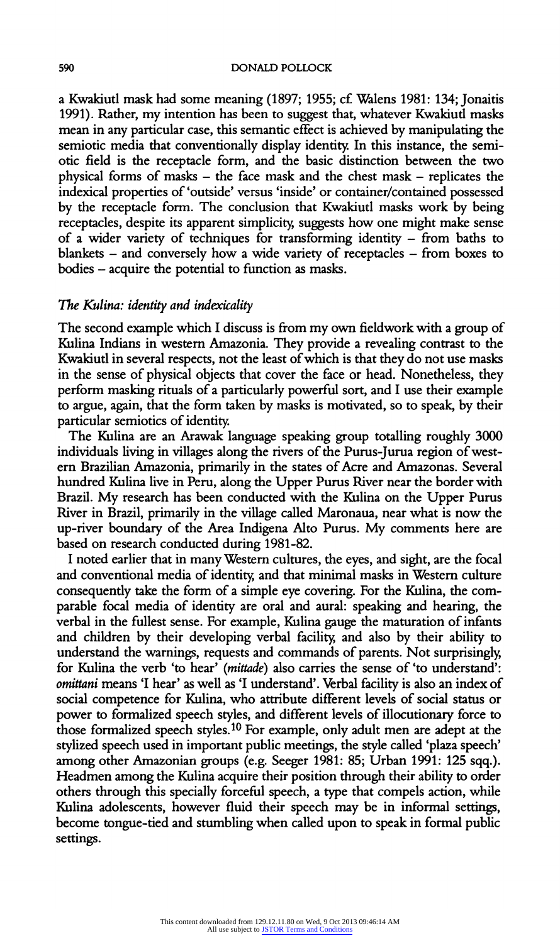a Kwakiutl mask had some meaning (1897; 1955; cf. Walens 1981: 134; Jonaitis **1991). Rather, my intention has been to suggest that, whatever Kwakiutl masks mean in any particular case, this semantic effect is achieved by manipulating the semiotic media that conventionally display identity. In this instance, the semiotic field is the receptacle form, and the basic distinction between the two physical forms of masks - the face mask and the chest mask - replicates the indexical properties of 'outside' versus 'inside' or container/contained possessed by the receptacle form. The conclusion that Kwakiutl masks work by being receptacles, despite its apparent simplicity, suggests how one might make sense of a wider variety of techniques for transforming identity - from baths to blankets - and conversely how a wide variety of receptacles - from boxes to bodies - acquire the potential to function as masks.** 

# **7The Kulina: identity and indexicality**

**The second example which I discuss is from my own fieldwork with a group of Kulina Indians in western Amazonia. They provide a revealing contrast to the Kwakiutl in several respects, not the least of which is that they do not use masks in the sense of physical objects that cover the face or head. Nonetheless, they perform masking rituals of a particularly powerful sort, and I use their example to argue, again, that the form taken by masks is motivated, so to speak, by their particular semiotics of identity.** 

**The Kulina are an Arawak language speaking group totalling roughly 3000 individuals living in villages along the rivers of the Purus-Jurua region of western Brazilian Amazonia, primarily in the states of Acre and Amazonas. Several hundred Kulina live in Peru, along the Upper Purus River near the border with Brazil. My research has been conducted with the Kulina on the Upper Purus River in Brazil, primarily in the village called Maronaua, near what is now the up-river boundary of the Area Indigena Alto Purus. My comments here are based on research conducted during 1981-82.** 

**I noted earlier that in many Western cultures, the eyes, and sight, are the focal and conventional media of identity, and that minimal masks in Western culture consequently take the form of a simple eye covering. For the Kulina, the comparable focal media of identity are oral and aural: speaking and hearing, the verbal in the fullest sense. For example, Kulina gauge the maturation of infants and children by their developing verbal facility, and also by their ability to understand the warnings, requests and commands of parents. Not surprisingly, for Kulina the verb 'to hear' (mittade) also carries the sense of 'to understand': omittani means 'I hear' as well as 'I understand'. Verbal facility is also an index of social competence for Kulina, who attribute different levels of social status or power to formalized speech styles, and different levels of illocutionary force to those formalized speech styles.10 For example, only adult men are adept at the stylized speech used in important public meetings, the style called 'plaza speech' among other Amazonian groups (e.g. Seeger 1981: 85; Urban 1991: 125 sqq.). Headmen among the Kulina acquire their position through their ability to order others through this specially forceful speech, a type that compels action, while Kulina adolescents, however fluid their speech may be in informal settings, become tongue-tied and stumbling when called upon to speak in formal public settings.**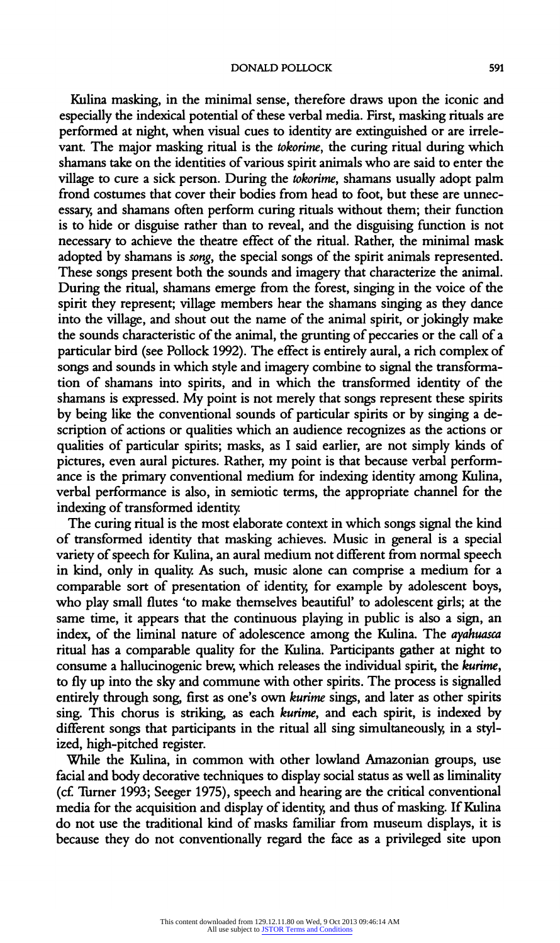**Kulina masking, in the minimal sense, therefore draws upon the iconic and especially the indexical potential of these verbal media. First, masking rituals are performed at night, when visual cues to identity are extinguished or are irrelevant. The major masking ritual is the tokorime, the curing ritual during which shamans take on the identities of various spirit animals who are said to enter the village to cure a sick person. During the tokorime, shamans usually adopt palm frond costumes that cover their bodies from head to foot, but these are unnecessary, and shamans often perform curing rituals without them; their function is to hide or disguise rather than to reveal, and the disguising function is not necessary to achieve the theatre effect of the ritual. Rather, the minimal mask adopted by shamans is song, the special songs of the spirit animals represented. These songs present both the sounds and imagery that characterize the animal. During the ritual, shamans emerge from the forest, singing in the voice of the spirit they represent; village members hear the shamans singing as they dance into the village, and shout out the name of the animal spirit, or jokingly make the sounds characteristic of the animal, the grunting of peccaries or the call of a particular bird (see Pollock 1992). The effect is entirely aural, a rich complex of songs and sounds in which style and imagery combine to signal the transformation of shamans into spirits, and in which the transformed identity of the shamans is expressed. My point is not merely that songs represent these spirits by being like the conventional sounds of particular spirits or by singing a description of actions or qualities which an audience recognizes as the actions or qualities of particular spirits; masks, as I said earlier, are not simply kinds of pictures, even aural pictures. Rather, my point is that because verbal performance is the primary conventional medium for indexing identity among Kulina, verbal performance is also, in semiotic terms, the appropriate channel for the indexing of transformed identity** 

**The curing ritual is the most elaborate context in which songs signal the kind of transformed identity that masking achieves. Music in general is a special variety of speech for Kulina, an aural medium not different from normal speech in kind, only in quality. As such, music alone can comprise a medium for a comparable sort of presentation of identity, for example by adolescent boys, who play small flutes 'to make themselves beautiful' to adolescent girls; at the same time, it appears that the continuous playing in public is also a sign, an index, of the liminal nature of adolescence among the Kulina. The ayahuasca ritual has a comparable quality for the Kulina. Participants gather at night to consume a hallucinogenic brew, which releases the individual spirit, the kurime, to fly up into the sky and commune with other spirits. The process is signalled entirely through song, first as one's own kurime sings, and later as other spirits sing. This chorus is striking, as each kurime, and each spirit, is indexed by different songs that participants in the ritual all sing simultaneously, in a stylized, high-pitched register.** 

**While the Kulina, in common with other lowland Amazonian groups, use facial and body decorative techniques to display social status as well as liminality (c? Turner 1993; Seeger 1975), speech and hearing are the critical conventional media for the acquisition and display of identity, and thus of masking. If Kulina do not use the traditional kind of masks familiar from museum displays, it is because they do not conventionally regard the face as a privileged site upon**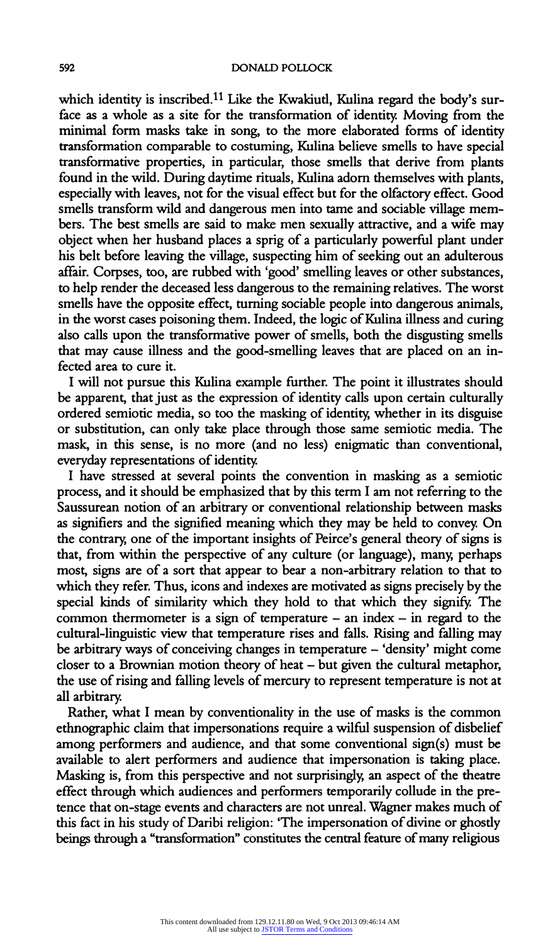**which identity is inscribed.11 Like the Kwakiutl, Kulina regard the body's surface as a whole as a site for the transformation of identity. Moving from the minimal form masks take in song, to the more elaborated forms of identity transformation comparable to costuming, Kulina believe smells to have special transformative properties, in particular, those smells that derive from plants found in the wild. During daytime rituals, Kulina adorn themselves with plants, especially with leaves, not for the visual effect but for the olfactory effect. Good smells transform wild and dangerous men into tame and sociable village members. The best smells are said to make men sexually attractive, and a wife may object when her husband places a sprig of a particularly powerful plant under his belt before leaving the village, suspecting him of seeking out an adulterous affair. Corpses, too, are rubbed with 'good' smelling leaves or other substances, to help render the deceased less dangerous to the remaining relatives. The worst smells have the opposite effect, turning sociable people into dangerous animals, in the worst cases poisoning them. Indeed, the logic of Kulina illness and curing also calls upon the transformative power of smells, both the disgusting smells that may cause illness and the good-smelling leaves that are placed on an infected area to cure it.** 

**I will not pursue this Kulina example further. The point it illustrates should be apparent, that just as the expression of identity calls upon certain culturally ordered semiotic media, so too the masking of identity, whether in its disguise or substitution, can only take place through those same semiotic media. The mask, in this sense, is no more (and no less) enigmatic than conventional, everyday representations of identity.** 

**I have stressed at several points the convention in masking as a semiotic process, and it should be emphasized that by this term I am not referring to the Saussurean notion of an arbitrary or conventional relationship between masks as signifiers and the signified meaning which they may be held to convey. On the contrary, one of the important insights of Peirce's general theory of signs is that, from within the perspective of any culture (or language), many, perhaps most, signs are of a sort that appear to bear a non-arbitrary relation to that to which they refer. Thus, icons and indexes are motivated as signs precisely by the special kinds of similarity which they hold to that which they signify. The**  common thermometer is a sign of temperature – an index – in regard to the **cultural-linguistic view that temperature rises and falls. Rising and falling may**  be arbitrary ways of conceiving changes in temperature - 'density' might come **closer to a Brownian motion theory of heat - but given the cultural metaphor, the use of rising and falling levels of mercury to represent temperature is not at all arbitrary.** 

**Rather, what I mean by conventionality in the use of masks is the common ethnographic claim that impersonations require a wilful suspension of disbelief among performers and audience, and that some conventional sign(s) must be available to alert performers and audience that impersonation is taking place. Masking is, from this perspective and not surprisingly, an aspect of the theatre effect through which audiences and performers temporarily collude in the pretence that on-stage events and characters are not unreal. Wagner makes much of this fact in his study of Daribi religion: 'The impersonation of divine or ghostly**  beings through a "transformation" constitutes the central feature of many religious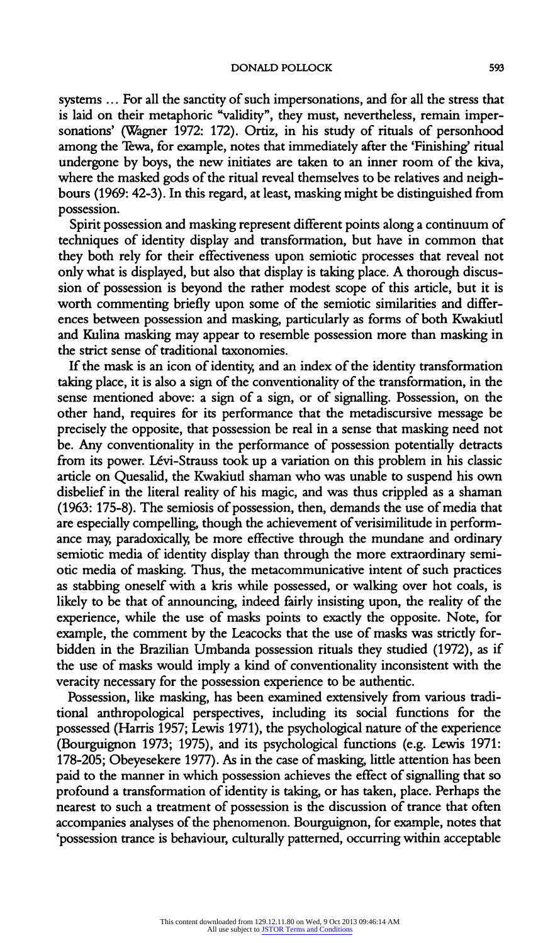**systems ... For all the sanctity of such impersonations, and for all the stress that is laid on their metaphoric "validity", they must, nevertheless, remain impersonations' (Wagner 1972: 172). Ortiz, in his study of rituals of personhood among the Tewa, for example, notes that immediately after the 'Finishing' ritual undergone by boys, the new initiates are taken to an inner room of the kiva, where the masked gods of the ritual reveal themselves to be relatives and neighbours (1969: 42-3). In this regard, at least, masking might be distinguished from possession.** 

**Spirit possession and masking represent different points along a continuum of techniques of identity display and transformation, but have in common that they both rely for their effectiveness upon semiotic processes that reveal not only what is displayed, but also that display is taking place. A thorough discussion of possession is beyond the rather modest scope of this article, but it is worth commenting briefly upon some of the semiotic similarities and differences between possession and masking, particularly as forms of both Kwakiutl and Kulina masking may appear to resemble possession more than masking in the strict sense of traditional taxonomies.** 

**If the mask is an icon of identity, and an index of the identity transformation taking place, it is also a sign of the conventionality of the transformation, in the sense mentioned above: a sign of a sign, or of signalling. Possession, on the other hand, requires for its performance that the metadiscursive message be precisely the opposite, that possession be real in a sense that masking need not be. Any conventionality in the performance of possession potentially detracts from its power. Levi-Strauss took up a variation on this problem in his classic article on Quesalid, the Kwakiutl shaman who was unable to suspend his own disbelief in the literal reality of his magic, and was thus crippled as a shaman (1963: 175-8). The semiosis of possession, then, demands the use of media that are especially compelling, though the achievement of verisimilitude in performance may, paradoxically, be more effective through the mundane and ordinary semiotic media of identity display than through the more extraordinary semiotic media of masking. Thus, the metacommunicative intent of such practices as stabbing oneself with a kris while possessed, or walking over hot coals, is likely to be that of announcing, indeed fairly insisting upon, the reality of the experience, while the use of masks points to exactly the opposite. Note, for example, the comment by the Leacocks that the use of masks was strictly forbidden in the Brazilian Umbanda possession rituals they studied (1972), as if the use of masks would imply a kind of conventionality inconsistent with the veracity necessary for the possession experience to be authentic.** 

**Possession, like masking, has been examined extensively from various traditional anthropological perspectives, including its social functions for the possessed (Harris 1957; Lewis 1971), the psychological nature of the experience (Bourguignon 1973; 1975), and its psychological functions (e.g. Lewis 1971: 178-205; Obeyesekere 1977). As in the case of masking, little attention has been paid to the manner in which possession achieves the effect of signalling that so profound a transformation of identity is taking, or has taken, place. Perhaps the nearest to such a treatment of possession is the discussion of trance that often accompanies analyses of the phenomenon. Bourguignon, for example, notes that 'possession trance is behaviour, culturally patterned, occurring within acceptable**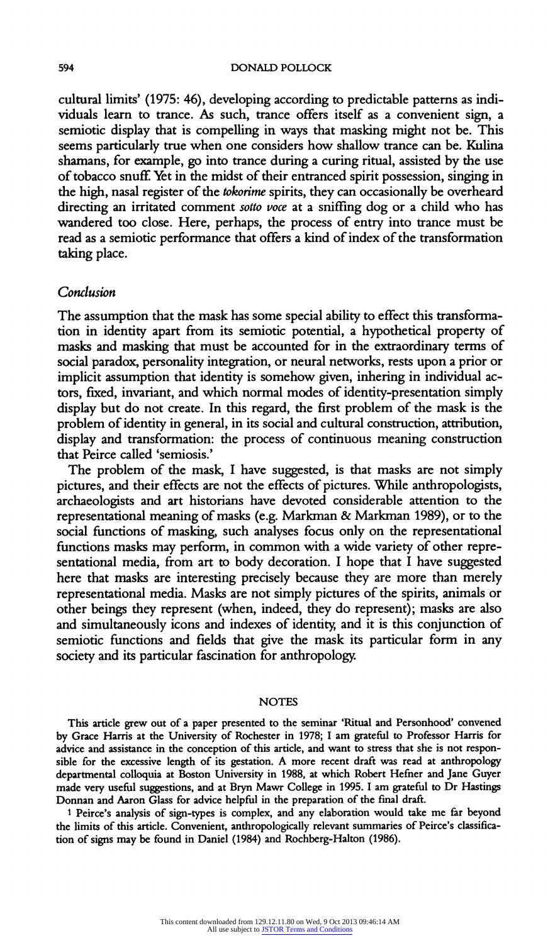**cultural limits' (1975: 46), developing according to predictable patterns as individuals learn to trance. As such, trance offers itself as a convenient sign, a semiotic display that is compelling in ways that masking might not be. This seems particularly true when one considers how shallow trance can be. Kulina shamans, for example, go into trance during a curing ritual, assisted by the use of tobacco snuff Yet in the midst of their entranced spirit possession, singing in the high, nasal register of the tokorime spirits, they can occasionally be overheard directing an irritated comment sotto voce at a sniffing dog or a child who has wandered too close. Here, perhaps, the process of entry into trance must be read as a semiotic performance that offers a kind of index of the transformation taking place.** 

## **Conclusion**

**The assumption that the mask has some special ability to effect this transformation in identity apart from its semiotic potential, a hypothetical property of masks and masking that must be accounted for in the extraordinary terms of social paradox, personality integration, or neural networks, rests upon a prior or implicit assumption that identity is somehow given, inhering in individual actors, fixed, invariant, and which normal modes of identity-presentation simply display but do not create. In this regard, the first problem of the mask is the problem of identity in general, in its social and cultural construction, attribution, display and transformation: the process of continuous meaning construction that Peirce called 'semiosis.'** 

**The problem of the mask, I have suggested, is that masks are not simply pictures, and their effects are not the effects of pictures. While anthropologists, archaeologists and art historians have devoted considerable attention to the representational meaning of masks (e.g. Markman & Markman 1989), or to the social functions of masking, such analyses focus only on the representational functions masks may perform, in common with a wide variety of other representational media, from art to body decoration. I hope that I have suggested here that masks are interesting precisely because they are more than merely representational media. Masks are not simply pictures of the spirits, animals or other beings they represent (when, indeed, they do represent); masks are also and simultaneously icons and indexes of identity, and it is this conjunction of semiotic functions and fields that give the mask its particular form in any society and its particular fascination for anthropology.** 

## **NOTES**

**This article grew out of a paper presented to the seminar 'Ritual and Personhood' convened by Grace Harris at the University of Rochester in 1978; I am grateful to Professor Harris for advice and assistance in the conception of this article, and want to stress that she is not responsible for the excessive length of its gestation. A more recent draft was read at anthropology departmental colloquia at Boston University in 1988, at which Robert Hefner and Jane Guyer made very useful suggestions, and at Bryn Mawr College in 1995. I am grateful to Dr Hastings Donnan and Aaron Glass for advice helpful in the preparation of the final draft.** 

**I Peirce's analysis of sign-types is complex, and any elaboration would take me far beyond the limits of this article. Convenient, anthropologically relevant summaries of Peirce's classification of signs may be found in Daniel (1984) and Rochberg-Halton (1986).**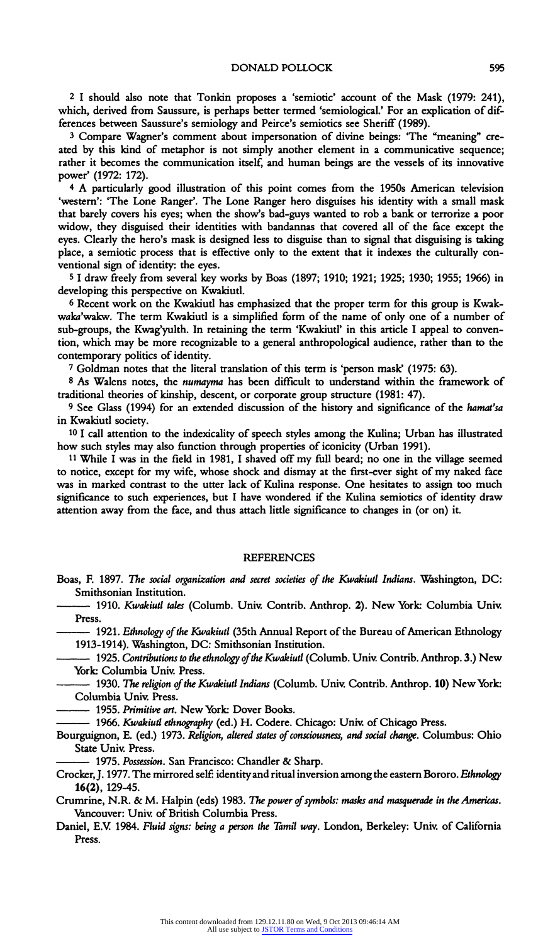**2 I should also note that Tonkin proposes a 'semiotic' account of the Mask (1979: 241), which, derived from Saussure, is perhaps better termed 'semiological.' For an explication of differences between Saussure's semiology and Peirce's semiotics see Sheriff (1989).** 

**3 Compare Wagner's comment about impersonation of divine beings: 'The "meaning" created by this kind of metaphor is not simply another element in a communicative sequence; rather it becomes the communication itself, and human beings are the vessels of its innovative power' (1972: 172).** 

**4 A particularly good illustration of this point comes from the 1950s American television 'western': 'The Lone Ranger'. The Lone Ranger hero disguises his identity with a small mask that barely covers his eyes; when the show's bad-guys wanted to rob a bank or terrorize a poor widow, they disguised their identities with bandannas that covered all of the face except the eyes. Clearly the hero's mask is designed less to disguise than to signal that disguising is taking place, a semiotic process that is effective only to the extent that it indexes the culturally conventional sign of identity: the eyes.** 

**5 I draw freely from several key works by Boas (1897; 1910; 1921; 1925; 1930; 1955; 1966) in developing this perspective on Kwakiutl.** 

**6 Recent work on the Kwakiutl has emphasized that the proper term for this group is Kwak**waka'wakw. The term Kwakiutl is a simplified form of the name of only one of a number of sub-groups, the Kwag'yulth. In retaining the term 'Kwakiutl' in this article I appeal to conven**tion, which may be more recognizable to a general anthropological audience, rather than to the contemporary politics of identity.** 

**7 Goldman notes that the literal translation of this term is 'person mask' (1975: 63).** 

**8 As Walens notes, the numayma has been difficult to understand within the framework of traditional theories of kinship, descent, or corporate group structure (1981: 47).** 

**9 See Glass (1994) for an extended discussion of the history and significance of the hamat'sa in Kwakiutl society.** 

**10 I call attention to the indexicality of speech styles among the Kulina; Urban has illustrated how such styles may also function through properties of iconicity (Urban 1991).** 

**11 While I was in the field in 1981, I shaved off my full beard; no one in the village seemed to notice, except for my wife, whose shock and dismay at the first-ever sight of my naked face was in marked contrast to the utter lack of Kulina response. One hesitates to assign too much significance to such experiences, but I have wondered if the Kulina semiotics of identity draw attention away from the face, and thus attach little significance to changes in (or on) it.** 

#### **REFERENCES**

Boas, F. 1897. The social organization and secret societies of the Kwakiutl Indians. Washington, DC: **Smithsonian Institution.** 

**1910. Kwakiutl tales (Columb. Univ. Contrib. Anthrop. 2). New York: Columbia Univ. Press.** 

1921. Ethnology of the Kwakiutl (35th Annual Report of the Bureau of American Ethnology **1913-1914). Washington, DC: Smithsonian Institution.** 

- 1925. Contributions to the ethnology of the Kwakiutl (Columb. Univ. Contrib. Anthrop. 3.) New **York: Columbia Univ. Press.** 

**1930. The religion of the Kwakiutl Indians (Columb. Univ. Contrib. Anthrop. 10) NewYork: Columbia Univ. Press.** 

**1955. Primitive art. New York: Dover Books.** 

- 1966. Kwakiutl ethnography (ed.) H. Codere. Chicago: Univ. of Chicago Press.

**Bourguignon, E. (ed.) 1973. Religion, altered states of consciousness, and social change. Columbus: Ohio State Univ. Press.** 

**1975. Possession. San Francisco: Chandler & Sharp.** 

**Crocker,J. 1977. The mirrored self: identityand ritual inversion amongthe eastern Bororo. Ethnology 16(2), 129-45.** 

Crumrine, N.R. & M. Halpin (eds) 1983. The power of symbols: masks and masquerade in the Americas. **Vancouver: Univ. of British Columbia Press.** 

**Daniel, E.V 1984. Fluid signs: being a person the Tamil way. London, Berkeley: Univ. of Califomia Press.**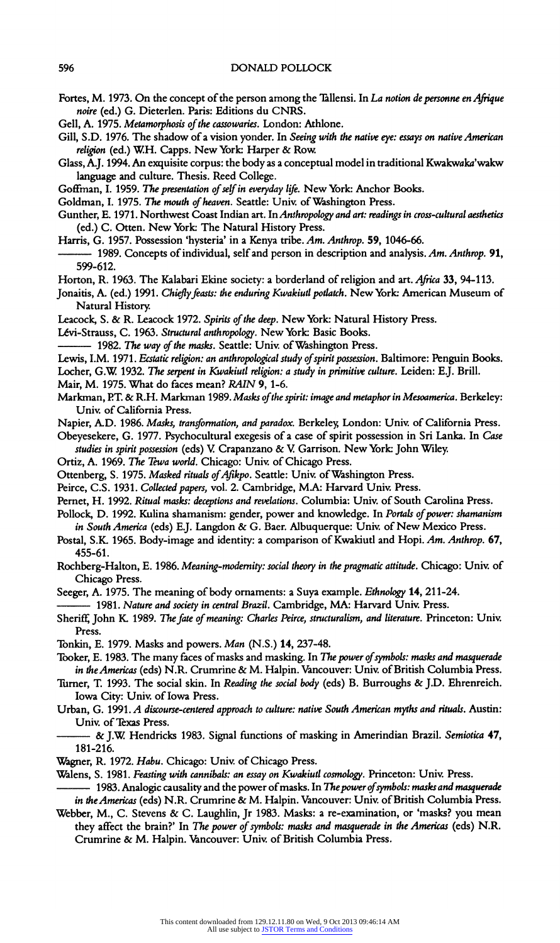- **Fortes, M. 1973. On the concept of the person among the Tallensi. In La notion de personne en Afrique noire (ed.) G. Dieterlen. Paris: Editions du CNRS.**
- **Gell, A. 1975. Metamorphosis of the cassowaries. London: Athlone.**
- **Gill, S.D. 1976. The shadow of a vision yonder. In Seeing with the native eye: essays on native American religion (ed.) WH. Capps. New York: Harper & Row.**
- **Glass, Aj. 1994. An exquisite corpus: the body as a conceptual model in traditional Kwakwaka'wakw language and culture. Thesis. Reed College.**
- Goffman, I. 1959. The presentation of self in everyday life. New York: Anchor Books.
- **Goldman, I. 1975. The mouth of heaven. Seattle: Univ. of Washington Press.**
- Gunther, E. 1971. Northwest Coast Indian art. In Anthropology and art: readings in cross-cultural aesthetics **(ed.) C. Otten. New York: The Natural History Press.**
- **Harris, G. 1957. Possession 'hysteria' in a Kenya tribe. Am. Anthrop. 59, 1046-66.**
- **1989. Concepts of individual, self and person in description and analysis. Am. Anthrop. 91, 599-612.**
- **Horton, R. 1963. The Kalabari Ekine society: a borderland of religion and art. Africa 33, 94-113.**
- Jonaitis, A. (ed.) 1991. Chiefly feasts: the enduring Kwakiutl potlatch. New York: American Museum of **Natural History.**
- **Leacock, S. & R. Leacock 1972. Spirits of the deep. New York: Natural History Press.**
- Lévi-Strauss, C. 1963. Structural anthropology. New York: Basic Books.
- **1982. The way of the masks. Seattle: Univ. of Washington Press.**
- **Lewis, I.M. 1971. Ecstatic religion: an anthropological study of spirit possession. Baltimore: Penguin Books.**
- **Locher, G.W 1932. 7he serpent in Kwakiutl religion: a study in primitive culture. Leiden: EJ. Brill.**
- **Mair, M. 1975. What do faces mean? RAIN 9, 1-6.**
- Markman, P.T. & R.H. Markman 1989. Masks of the spirit: image and metaphor in Mesoamerica. Berkeley: **Univ. of California Press.**
- Napier, A.D. 1986. Masks, transformation, and paradox. Berkeley, London: Univ. of California Press.
- **Obeyesekere, G. 1977. Psychocultural exegesis of a case of spirit possession in Sri Lanka. In Case**  studies in spirit possession (eds) V. Crapanzano & V. Garrison. New York: John Wiley.
- **Ortiz, A. 1969. The Tewa world. Chicago: Univ. of Chicago Press.**
- **Ottenberg, S. 1975. Masked rituals of Aftkpo. Seattle: Univ. of Washington Press.**
- **Peirce, C.S. 1931. Collected papers, vol. 2. Cambridge, MA: Harvard Univ. Press.**
- **Pernet, H. 1992. Ritual masks: deceptions and revelations. Columbia: Univ. of South Carolina Press.**
- **Pollock, D. 1992. Kulina shamanism: gender, power and knowledge. In Portals of power: shamanism**  in South America (eds) E.J. Langdon & G. Baer. Albuquerque: Univ. of New Mexico Press.
- **Postal, S.K 1965. Body-image and identity: a comparison of Kwakiutl and Hopi. Am. Anthrop. 67, 455-61.**
- **Rochberg-Halton, E. 1986. Meaning-modernity: social theory in the pragmatic attitude. Chicago: Univ. of Chicago Press.**
- **Seeger, A. 1975. The meaning of body ornaments: a Suya example. Ethnology 14, 211-24.**
- **1981. Nature and society in central Brazil. Cambridge, MA: Harvard Univ. Press.**
- Sheriff, John K. 1989. The fate of meaning: Charles Peirce, structuralism, and literature. Princeton: Univ. **Press.**
- **Tonkin, E. 1979. Masks and powers. Man (N.S.) 14, 237-48.**
- **Tooker, E. 1983. The many faces of masks and masking. In The power of symbols: masks and masquerade in the Americas (eds) N.R. Crumrine & M. Halpin. Vancouver: Univ. of British Columbia Press.**
- **Turner, T. 1993. The social skin. In Reading the social body (eds) B. Burroughs & J.D. Ehrenreich. Iowa City: Univ. of Iowa Press.**
- **Urban, G. 1991. A discourse-centered approach to culture: native South American myths and rituals. Austin: Univ. of Texas Press.**
- **& J.W Hendricks 1983. Signal functions of masking in Amerindian Brazil. Semiotica 47, 181-216.**
- **Wagner, R. 1972. Habu. Chicago: Univ. of Chicago Press.**
- **Walens, S. 1981. Feasting with cannibals: an essay on Kwakiutl cosmology. Princeton: Univ. Press.**
- 1983. Analogic causality and the power of masks. In *The power of symbols: masks and masquerade* **in theAmericas (eds) N.R. Crumrine & M. Halpin. Vancouver: Univ. of British Columbia Press.**
- **Webber, M., C. Stevens & C. Laughlin, Jr 1983. Masks: a re-examination, or 'masks? you mean they affect the brain?' In The power of symbols: masks and masquerade in the Americas (eds) N.R. Crumrine & M. Halpin. Vancouver: Univ. of British Columbia Press.**